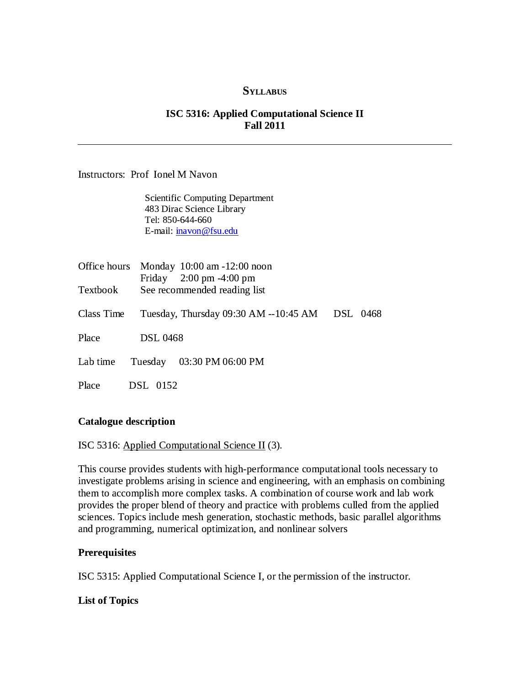### **SYLLABUS**

## ISC 5316: Applied Computational Science II Fall 2011

Instructors: Prof Ionel M Navon

Scientific Computing Department 483 Dirac Science Library Tel: 850-644-660 E-mail: inavon@fsu.edu

| Office hours |                 | Monday 10:00 am -12:00 noon<br>Friday $2:00 \text{ pm } -4:00 \text{ pm}$ |          |
|--------------|-----------------|---------------------------------------------------------------------------|----------|
| Textbook     |                 | See recommended reading list                                              |          |
| Class Time   |                 | Tuesday, Thursday 09:30 AM --10:45 AM                                     | DSL 0468 |
| Place        | <b>DSL 0468</b> |                                                                           |          |
| Lab time     |                 | Tuesday 03:30 PM 06:00 PM                                                 |          |
| Place        | <b>DSL</b> 0152 |                                                                           |          |

#### Catalogue description

ISC 5316: Applied Computational Science II (3).

This course provides students with high-performance computational tools necessary to investigate problems arising in science and engineering, with an emphasis on combining them to accomplish more complex tasks. A combination of course work and lab work provides the proper blend of theory and practice with problems culled from the applied sciences. Topics include mesh generation, stochastic methods, basic parallel algorithms and programming, numerical optimization, and nonlinear solvers

#### **Prerequisites**

ISC 5315: Applied Computational Science I, or the permission of the instructor.

### List of Topics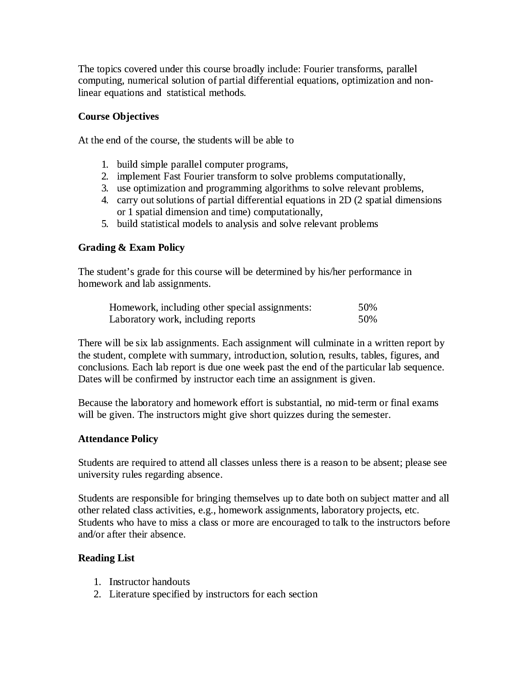The topics covered under this course broadly include: Fourier transforms, parallel computing, numerical solution of partial differential equations, optimization and nonlinear equations and statistical methods.

# Course Objectives

At the end of the course, the students will be able to

- 1. build simple parallel computer programs,
- 2. implement Fast Fourier transform to solve problems computationally,
- 3. use optimization and programming algorithms to solve relevant problems,
- 4. carry out solutions of partial differential equations in 2D (2 spatial dimensions or 1 spatial dimension and time) computationally,
- 5. build statistical models to analysis and solve relevant problems

## Grading & Exam Policy

The student's grade for this course will be determined by his/her performance in homework and lab assignments.

| Homework, including other special assignments: | 50% |
|------------------------------------------------|-----|
| Laboratory work, including reports             | 50% |

There will be six lab assignments. Each assignment will culminate in a written report by the student, complete with summary, introduction, solution, results, tables, figures, and conclusions. Each lab report is due one week past the end of the particular lab sequence. Dates will be confirmed by instructor each time an assignment is given.

Because the laboratory and homework effort is substantial, no mid-term or final exams will be given. The instructors might give short quizzes during the semester.

## Attendance Policy

Students are required to attend all classes unless there is a reason to be absent; please see university rules regarding absence.

Students are responsible for bringing themselves up to date both on subject matter and all other related class activities, e.g., homework assignments, laboratory projects, etc. Students who have to miss a class or more are encouraged to talk to the instructors before and/or after their absence.

## Reading List

- 1. Instructor handouts
- 2. Literature specified by instructors for each section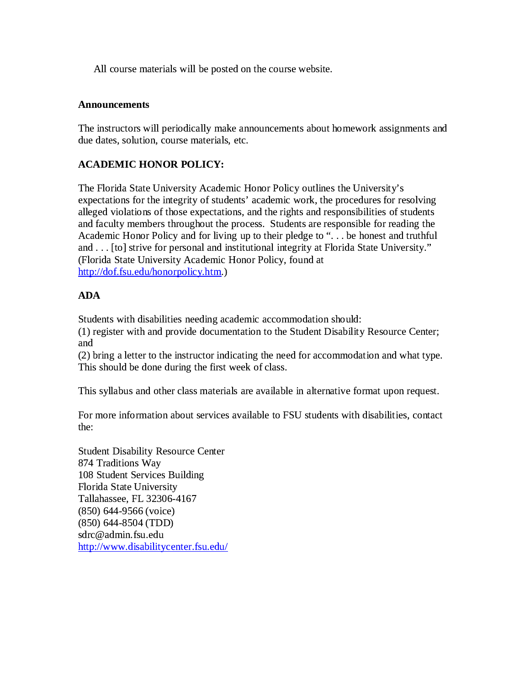All course materials will be posted on the course website.

### Announcements

The instructors will periodically make announcements about homework assignments and due dates, solution, course materials, etc.

# ACADEMIC HONOR POLICY:

The Florida State University Academic Honor Policy outlines the University's expectations for the integrity of students' academic work, the procedures for resolving alleged violations of those expectations, and the rights and responsibilities of students and faculty members throughout the process. Students are responsible for reading the Academic Honor Policy and for living up to their pledge to ". . . be honest and truthful and . . . [to] strive for personal and institutional integrity at Florida State University." (Florida State University Academic Honor Policy, found at http://dof.fsu.edu/honorpolicy.htm.)

## ADA

Students with disabilities needing academic accommodation should:

(1) register with and provide documentation to the Student Disability Resource Center; and

(2) bring a letter to the instructor indicating the need for accommodation and what type. This should be done during the first week of class.

This syllabus and other class materials are available in alternative format upon request.

For more information about services available to FSU students with disabilities, contact the:

Student Disability Resource Center 874 Traditions Way 108 Student Services Building Florida State University Tallahassee, FL 32306-4167 (850) 644-9566 (voice) (850) 644-8504 (TDD) sdrc@admin.fsu.edu http://www.disabilitycenter.fsu.edu/